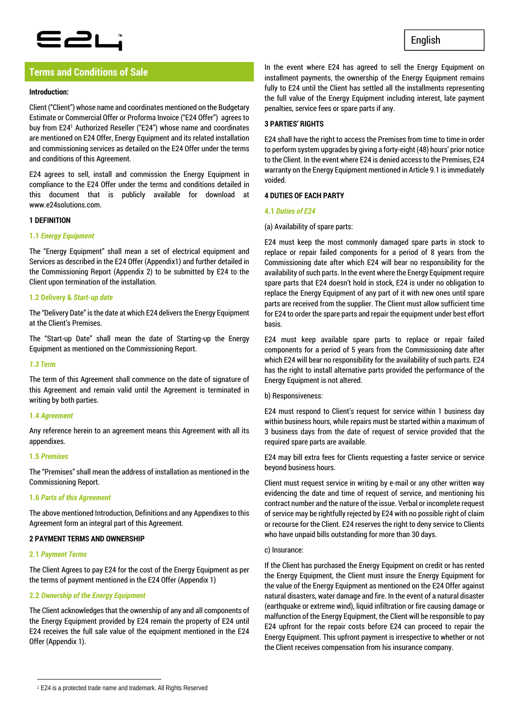## E2L

## **Terms and Conditions of Sale**

## **Introduction:**

Client ("Client") whose name and coordinates mentioned on the Budgetary Estimate or Commercial Offer or Proforma Invoice ("E24 Offer") agrees to buy from E241 Authorized Reseller ("E24") whose name and coordinates are mentioned on E24 Offer, Energy Equipment and its related installation and commissioning services as detailed on the E24 Offer under the terms and conditions of this Agreement.

E24 agrees to sell, install and commission the Energy Equipment in compliance to the E24 Offer under the terms and conditions detailed in this document that is publicly available for download at www.e24solutions.com.

## **1 DEFINITION**

## **1.1** *Energy Equipment*

The "Energy Equipment" shall mean a set of electrical equipment and Services as described in the E24 Offer (Appendix1) and further detailed in the Commissioning Report (Appendix 2) to be submitted by E24 to the Client upon termination of the installation.

## **1.2 Delivery &** *Start-up date*

The "Delivery Date" is the date at which E24 delivers the Energy Equipment at the Client's Premises.

The "Start-up Date" shall mean the date of Starting-up the Energy Equipment as mentioned on the Commissioning Report.

#### *1.3 Term*

The term of this Agreement shall commence on the date of signature of this Agreement and remain valid until the Agreement is terminated in writing by both parties.

## **1.4** *Agreement*

Any reference herein to an agreement means this Agreement with all its appendixes.

#### **1.5** *Premises*

The "Premises" shall mean the address of installation as mentioned in the Commissioning Report.

## **1.6** *Parts of this Agreement*

The above mentioned Introduction, Definitions and any Appendixes to this Agreement form an integral part of this Agreement.

## **2 PAYMENT TERMS AND OWNERSHIP**

## **2.1** *Payment Terms*

The Client Agrees to pay E24 for the cost of the Energy Equipment as per the terms of payment mentioned in the E24 Offer (Appendix 1)

## **2.2** *Ownership of the Energy Equipment*

The Client acknowledges that the ownership of any and all components of the Energy Equipment provided by E24 remain the property of E24 until E24 receives the full sale value of the equipment mentioned in the E24 Offer (Appendix 1).

In the event where E24 has agreed to sell the Energy Equipment on installment payments, the ownership of the Energy Equipment remains fully to E24 until the Client has settled all the installments representing the full value of the Energy Equipment including interest, late payment penalties, service fees or spare parts if any.

## **3 PARTIES' RIGHTS**

E24 shall have the right to access the Premises from time to time in order to perform system upgrades by giving a forty-eight (48) hours' prior notice to the Client. In the event where E24 is denied access to the Premises, E24 warranty on the Energy Equipment mentioned in Article 9.1 is immediately voided.

## **4 DUTIES OF EACH PARTY**

## **4.1** *Duties of E24*

## (a) Availability of spare parts:

E24 must keep the most commonly damaged spare parts in stock to replace or repair failed components for a period of 8 years from the Commissioning date after which E24 will bear no responsibility for the availability of such parts. In the event where the Energy Equipment require spare parts that E24 doesn't hold in stock, E24 is under no obligation to replace the Energy Equipment of any part of it with new ones until spare parts are received from the supplier. The Client must allow sufficient time for E24 to order the spare parts and repair the equipment under best effort basis.

E24 must keep available spare parts to replace or repair failed components for a period of 5 years from the Commissioning date after which E24 will bear no responsibility for the availability of such parts. E24 has the right to install alternative parts provided the performance of the Energy Equipment is not altered.

#### b) Responsiveness:

E24 must respond to Client's request for service within 1 business day within business hours, while repairs must be started within a maximum of 3 business days from the date of request of service provided that the required spare parts are available.

E24 may bill extra fees for Clients requesting a faster service or service beyond business hours.

Client must request service in writing by e-mail or any other written way evidencing the date and time of request of service, and mentioning his contract number and the nature of the issue. Verbal or incomplete request of service may be rightfully rejected by E24 with no possible right of claim or recourse for the Client. E24 reserves the right to deny service to Clients who have unpaid bills outstanding for more than 30 days.

#### c) Insurance:

If the Client has purchased the Energy Equipment on credit or has rented the Energy Equipment, the Client must insure the Energy Equipment for the value of the Energy Equipment as mentioned on the E24 Offer against natural disasters, water damage and fire. In the event of a natural disaster (earthquake or extreme wind), liquid infiltration or fire causing damage or malfunction of the Energy Equipment, the Client will be responsible to pay E24 upfront for the repair costs before E24 can proceed to repair the Energy Equipment. This upfront payment is irrespective to whether or not the Client receives compensation from his insurance company.

 $\overline{a}$ 1 E24 is a protected trade name and trademark. All Rights Reserved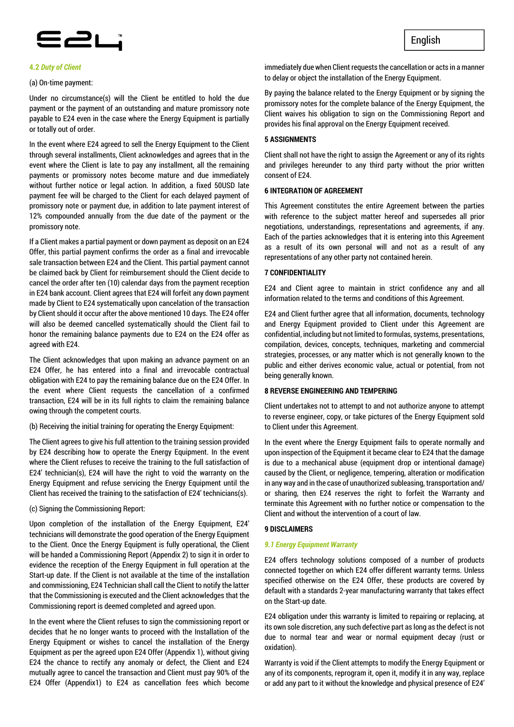

#### **4.2** *Duty of Client*

#### (a) On-time payment:

Under no circumstance(s) will the Client be entitled to hold the due payment or the payment of an outstanding and mature promissory note payable to E24 even in the case where the Energy Equipment is partially or totally out of order.

In the event where E24 agreed to sell the Energy Equipment to the Client through several installments, Client acknowledges and agrees that in the event where the Client is late to pay any installment, all the remaining payments or promissory notes become mature and due immediately without further notice or legal action. In addition, a fixed 50USD late payment fee will be charged to the Client for each delayed payment of promissory note or payment due, in addition to late payment interest of 12% compounded annually from the due date of the payment or the promissory note.

If a Client makes a partial payment or down payment as deposit on an E24 Offer, this partial payment confirms the order as a final and irrevocable sale transaction between E24 and the Client. This partial payment cannot be claimed back by Client for reimbursement should the Client decide to cancel the order after ten (10) calendar days from the payment reception in E24 bank account. Client agrees that E24 will forfeit any down payment made by Client to E24 systematically upon cancelation of the transaction by Client should it occur after the above mentioned 10 days. The E24 offer will also be deemed cancelled systematically should the Client fail to honor the remaining balance payments due to E24 on the E24 offer as agreed with E24.

The Client acknowledges that upon making an advance payment on an E24 Offer, he has entered into a final and irrevocable contractual obligation with E24 to pay the remaining balance due on the E24 Offer. In the event where Client requests the cancellation of a confirmed transaction, E24 will be in its full rights to claim the remaining balance owing through the competent courts.

(b) Receiving the initial training for operating the Energy Equipment:

The Client agrees to give his full attention to the training session provided by E24 describing how to operate the Energy Equipment. In the event where the Client refuses to receive the training to the full satisfaction of E24' technician(s), E24 will have the right to void the warranty on the Energy Equipment and refuse servicing the Energy Equipment until the Client has received the training to the satisfaction of E24' technicians(s).

(c) Signing the Commissioning Report:

Upon completion of the installation of the Energy Equipment, E24' technicians will demonstrate the good operation of the Energy Equipment to the Client. Once the Energy Equipment is fully operational, the Client will be handed a Commissioning Report (Appendix 2) to sign it in order to evidence the reception of the Energy Equipment in full operation at the Start-up date. If the Client is not available at the time of the installation and commissioning, E24 Technician shall call the Client to notify the latter that the Commissioning is executed and the Client acknowledges that the Commissioning report is deemed completed and agreed upon.

In the event where the Client refuses to sign the commissioning report or decides that he no longer wants to proceed with the Installation of the Energy Equipment or wishes to cancel the installation of the Energy Equipment as per the agreed upon E24 Offer (Appendix 1), without giving E24 the chance to rectify any anomaly or defect, the Client and E24 mutually agree to cancel the transaction and Client must pay 90% of the E24 Offer (Appendix1) to E24 as cancellation fees which become immediately due when Client requests the cancellation or acts in a manner to delay or object the installation of the Energy Equipment.

By paying the balance related to the Energy Equipment or by signing the promissory notes for the complete balance of the Energy Equipment, the Client waives his obligation to sign on the Commissioning Report and provides his final approval on the Energy Equipment received.

#### **5 ASSIGNMENTS**

Client shall not have the right to assign the Agreement or any of its rights and privileges hereunder to any third party without the prior written consent of E24.

#### **6 INTEGRATION OF AGREEMENT**

This Agreement constitutes the entire Agreement between the parties with reference to the subject matter hereof and supersedes all prior negotiations, understandings, representations and agreements, if any. Each of the parties acknowledges that it is entering into this Agreement as a result of its own personal will and not as a result of any representations of any other party not contained herein.

#### **7 CONFIDENTIALITY**

E24 and Client agree to maintain in strict confidence any and all information related to the terms and conditions of this Agreement.

E24 and Client further agree that all information, documents, technology and Energy Equipment provided to Client under this Agreement are confidential, including but not limited to formulas, systems, presentations, compilation, devices, concepts, techniques, marketing and commercial strategies, processes, or any matter which is not generally known to the public and either derives economic value, actual or potential, from not being generally known.

## **8 REVERSE ENGINEERING AND TEMPERING**

Client undertakes not to attempt to and not authorize anyone to attempt to reverse engineer, copy, or take pictures of the Energy Equipment sold to Client under this Agreement.

In the event where the Energy Equipment fails to operate normally and upon inspection of the Equipment it became clear to E24 that the damage is due to a mechanical abuse (equipment drop or intentional damage) caused by the Client, or negligence, tempering, alteration or modification in any way and in the case of unauthorized subleasing, transportation and/ or sharing, then E24 reserves the right to forfeit the Warranty and terminate this Agreement with no further notice or compensation to the Client and without the intervention of a court of law.

#### **9 DISCLAIMERS**

#### *9.1 Energy Equipment Warranty*

E24 offers technology solutions composed of a number of products connected together on which E24 offer different warranty terms. Unless specified otherwise on the E24 Offer, these products are covered by default with a standards 2-year manufacturing warranty that takes effect on the Start-up date.

E24 obligation under this warranty is limited to repairing or replacing, at its own sole discretion, any such defective part as long as the defect is not due to normal tear and wear or normal equipment decay (rust or oxidation).

Warranty is void if the Client attempts to modify the Energy Equipment or any of its components, reprogram it, open it, modify it in any way, replace or add any part to it without the knowledge and physical presence of E24'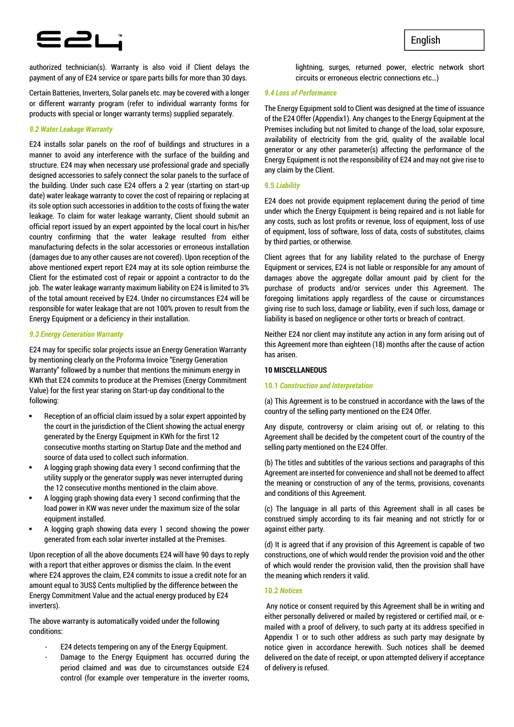# **E2L**

authorized technician(s). Warranty is also void if Client delays the payment of any of E24 service or spare parts bills for more than 30 days.

Certain Batteries, Inverters, Solar panels etc. may be covered with a longer or different warranty program (refer to individual warranty forms for products with special or longer warranty terms) supplied separately.

## *9.2 Water Leakage Warranty*

E24 installs solar panels on the roof of buildings and structures in a manner to avoid any interference with the surface of the building and structure. E24 may when necessary use professional grade and specially designed accessories to safely connect the solar panels to the surface of the building. Under such case E24 offers a 2 year (starting on start-up date) water leakage warranty to cover the cost of repairing or replacing at its sole option such accessories in addition to the costs of fixing the water leakage. To claim for water leakage warranty, Client should submit an official report issued by an expert appointed by the local court in his/her country confirming that the water leakage resulted from either manufacturing defects in the solar accessories or erroneous installation (damages due to any other causes are not covered). Upon reception of the above mentioned expert report E24 may at its sole option reimburse the Client for the estimated cost of repair or appoint a contractor to do the job. The water leakage warranty maximum liability on E24 is limited to 3% of the total amount received by E24. Under no circumstances E24 will be responsible for water leakage that are not 100% proven to result from the Energy Equipment or a deficiency in their installation.

#### *9.3 Energy Generation Warranty*

E24 may for specific solar projects issue an Energy Generation Warranty by mentioning clearly on the Proforma Invoice "Energy Generation Warranty" followed by a number that mentions the minimum energy in KWh that E24 commits to produce at the Premises (Energy Commitment Value) for the first year staring on Start-up day conditional to the following:

- Reception of an official claim issued by a solar expert appointed by the court in the jurisdiction of the Client showing the actual energy generated by the Energy Equipment in KWh for the first 12 consecutive months starting on Startup Date and the method and source of data used to collect such information.
- A logging graph showing data every 1 second confirming that the utility supply or the generator supply was never interrupted during the 12 consecutive months mentioned in the claim above.
- A logging graph showing data every 1 second confirming that the load power in KW was never under the maximum size of the solar equipment installed.
- A logging graph showing data every 1 second showing the power generated from each solar inverter installed at the Premises.

Upon reception of all the above documents E24 will have 90 days to reply with a report that either approves or dismiss the claim. In the event where E24 approves the claim, E24 commits to issue a credit note for an amount equal to 3US\$ Cents multiplied by the difference between the Energy Commitment Value and the actual energy produced by E24 inverters).

The above warranty is automatically voided under the following conditions:

- E24 detects tempering on any of the Energy Equipment.
- Damage to the Energy Equipment has occurred during the period claimed and was due to circumstances outside E24 control (for example over temperature in the inverter rooms,

lightning, surges, returned power, electric network short circuits or erroneous electric connections etc…)

## *9.4 Loss of Performance*

The Energy Equipment sold to Client was designed at the time of issuance of the E24 Offer (Appendix1). Any changes to the Energy Equipment at the Premises including but not limited to change of the load, solar exposure, availability of electricity from the grid, quality of the available local generator or any other parameter(s) affecting the performance of the Energy Equipment is not the responsibility of E24 and may not give rise to any claim by the Client.

#### **9.5** *Liability*

E24 does not provide equipment replacement during the period of time under which the Energy Equipment is being repaired and is not liable for any costs, such as lost profits or revenue, loss of equipment, loss of use of equipment, loss of software, loss of data, costs of substitutes, claims by third parties, or otherwise.

Client agrees that for any liability related to the purchase of Energy Equipment or services, E24 is not liable or responsible for any amount of damages above the aggregate dollar amount paid by client for the purchase of products and/or services under this Agreement. The foregoing limitations apply regardless of the cause or circumstances giving rise to such loss, damage or liability, even if such loss, damage or liability is based on negligence or other torts or breach of contract.

Neither E24 nor client may institute any action in any form arising out of this Agreement more than eighteen (18) months after the cause of action has arisen.

#### **10 MISCELLANEOUS**

#### **10.1** *Construction and Interpretation*

(a) This Agreement is to be construed in accordance with the laws of the country of the selling party mentioned on the E24 Offer.

Any dispute, controversy or claim arising out of, or relating to this Agreement shall be decided by the competent court of the country of the selling party mentioned on the E24 Offer.

(b) The titles and subtitles of the various sections and paragraphs of this Agreement are inserted for convenience and shall not be deemed to affect the meaning or construction of any of the terms, provisions, covenants and conditions of this Agreement.

(c) The language in all parts of this Agreement shall in all cases be construed simply according to its fair meaning and not strictly for or against either party.

(d) It is agreed that if any provision of this Agreement is capable of two constructions, one of which would render the provision void and the other of which would render the provision valid, then the provision shall have the meaning which renders it valid.

## **10.2** *Notices*

 Any notice or consent required by this Agreement shall be in writing and either personally delivered or mailed by registered or certified mail, or emailed with a proof of delivery, to such party at its address specified in Appendix 1 or to such other address as such party may designate by notice given in accordance herewith. Such notices shall be deemed delivered on the date of receipt, or upon attempted delivery if acceptance of delivery is refused.